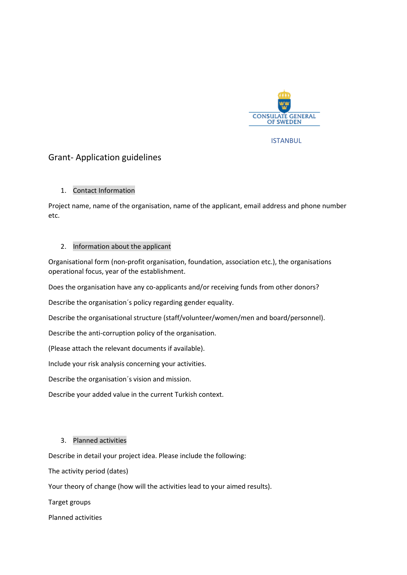

ISTANBUL

# Grant- Application guidelines

## 1. Contact Information

Project name, name of the organisation, name of the applicant, email address and phone number etc.

### 2. Information about the applicant

Organisational form (non-profit organisation, foundation, association etc.), the organisations operational focus, year of the establishment.

Does the organisation have any co-applicants and/or receiving funds from other donors?

Describe the organisation´s policy regarding gender equality.

Describe the organisational structure (staff/volunteer/women/men and board/personnel).

Describe the anti-corruption policy of the organisation.

(Please attach the relevant documents if available).

Include your risk analysis concerning your activities.

Describe the organisation´s vision and mission.

Describe your added value in the current Turkish context.

## 3. Planned activities

Describe in detail your project idea. Please include the following:

The activity period (dates)

Your theory of change (how will the activities lead to your aimed results).

Target groups

Planned activities